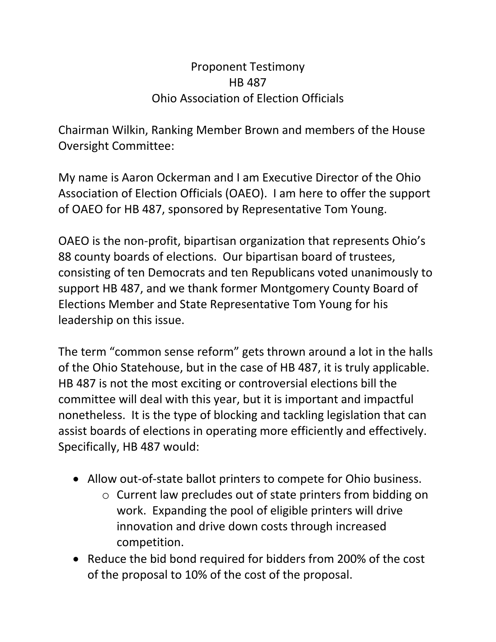## Proponent Testimony HB 487 Ohio Association of Election Officials

Chairman Wilkin, Ranking Member Brown and members of the House Oversight Committee:

My name is Aaron Ockerman and I am Executive Director of the Ohio Association of Election Officials (OAEO). I am here to offer the support of OAEO for HB 487, sponsored by Representative Tom Young.

OAEO is the non-profit, bipartisan organization that represents Ohio's 88 county boards of elections. Our bipartisan board of trustees, consisting of ten Democrats and ten Republicans voted unanimously to support HB 487, and we thank former Montgomery County Board of Elections Member and State Representative Tom Young for his leadership on this issue.

The term "common sense reform" gets thrown around a lot in the halls of the Ohio Statehouse, but in the case of HB 487, it is truly applicable. HB 487 is not the most exciting or controversial elections bill the committee will deal with this year, but it is important and impactful nonetheless. It is the type of blocking and tackling legislation that can assist boards of elections in operating more efficiently and effectively. Specifically, HB 487 would:

- Allow out-of-state ballot printers to compete for Ohio business.
	- o Current law precludes out of state printers from bidding on work. Expanding the pool of eligible printers will drive innovation and drive down costs through increased competition.
- Reduce the bid bond required for bidders from 200% of the cost of the proposal to 10% of the cost of the proposal.